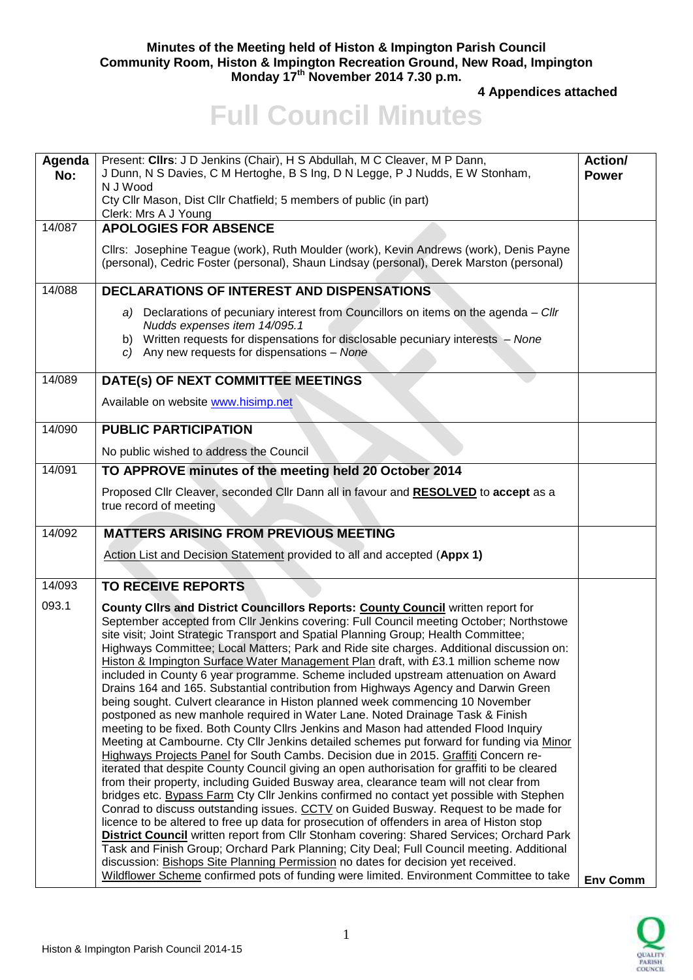## **Minutes of the Meeting held of Histon & Impington Parish Council Community Room, Histon & Impington Recreation Ground, New Road, Impington Monday 17th November 2014 7.30 p.m.**

**4 Appendices attached** 

## **Full Council Minutes**

| Agenda<br>No: | Present: Clirs: J D Jenkins (Chair), H S Abdullah, M C Cleaver, M P Dann,<br>J Dunn, N S Davies, C M Hertoghe, B S Ing, D N Legge, P J Nudds, E W Stonham,<br>N J Wood<br>Cty Cllr Mason, Dist Cllr Chatfield; 5 members of public (in part)<br>Clerk: Mrs A J Young                                                                                                                                                                                                                                                                                                                                                                                                                                                                                                                                                                                                                                                                                                                                                                                                                                                                                                                                                                                                                                                                                                                                                                                                                                                                                                                                                                                                                                                                                                                                                                   | Action/<br><b>Power</b> |
|---------------|----------------------------------------------------------------------------------------------------------------------------------------------------------------------------------------------------------------------------------------------------------------------------------------------------------------------------------------------------------------------------------------------------------------------------------------------------------------------------------------------------------------------------------------------------------------------------------------------------------------------------------------------------------------------------------------------------------------------------------------------------------------------------------------------------------------------------------------------------------------------------------------------------------------------------------------------------------------------------------------------------------------------------------------------------------------------------------------------------------------------------------------------------------------------------------------------------------------------------------------------------------------------------------------------------------------------------------------------------------------------------------------------------------------------------------------------------------------------------------------------------------------------------------------------------------------------------------------------------------------------------------------------------------------------------------------------------------------------------------------------------------------------------------------------------------------------------------------|-------------------------|
| 14/087        | <b>APOLOGIES FOR ABSENCE</b>                                                                                                                                                                                                                                                                                                                                                                                                                                                                                                                                                                                                                                                                                                                                                                                                                                                                                                                                                                                                                                                                                                                                                                                                                                                                                                                                                                                                                                                                                                                                                                                                                                                                                                                                                                                                           |                         |
|               | Cllrs: Josephine Teague (work), Ruth Moulder (work), Kevin Andrews (work), Denis Payne<br>(personal), Cedric Foster (personal), Shaun Lindsay (personal), Derek Marston (personal)                                                                                                                                                                                                                                                                                                                                                                                                                                                                                                                                                                                                                                                                                                                                                                                                                                                                                                                                                                                                                                                                                                                                                                                                                                                                                                                                                                                                                                                                                                                                                                                                                                                     |                         |
| 14/088        | <b>DECLARATIONS OF INTEREST AND DISPENSATIONS</b>                                                                                                                                                                                                                                                                                                                                                                                                                                                                                                                                                                                                                                                                                                                                                                                                                                                                                                                                                                                                                                                                                                                                                                                                                                                                                                                                                                                                                                                                                                                                                                                                                                                                                                                                                                                      |                         |
|               | a) Declarations of pecuniary interest from Councillors on items on the agenda - Cllr<br>Nudds expenses item 14/095.1<br>b) Written requests for dispensations for disclosable pecuniary interests - None<br>c) Any new requests for dispensations $-$ None                                                                                                                                                                                                                                                                                                                                                                                                                                                                                                                                                                                                                                                                                                                                                                                                                                                                                                                                                                                                                                                                                                                                                                                                                                                                                                                                                                                                                                                                                                                                                                             |                         |
| 14/089        | DATE(s) OF NEXT COMMITTEE MEETINGS                                                                                                                                                                                                                                                                                                                                                                                                                                                                                                                                                                                                                                                                                                                                                                                                                                                                                                                                                                                                                                                                                                                                                                                                                                                                                                                                                                                                                                                                                                                                                                                                                                                                                                                                                                                                     |                         |
|               | Available on website www.hisimp.net                                                                                                                                                                                                                                                                                                                                                                                                                                                                                                                                                                                                                                                                                                                                                                                                                                                                                                                                                                                                                                                                                                                                                                                                                                                                                                                                                                                                                                                                                                                                                                                                                                                                                                                                                                                                    |                         |
| 14/090        | <b>PUBLIC PARTICIPATION</b>                                                                                                                                                                                                                                                                                                                                                                                                                                                                                                                                                                                                                                                                                                                                                                                                                                                                                                                                                                                                                                                                                                                                                                                                                                                                                                                                                                                                                                                                                                                                                                                                                                                                                                                                                                                                            |                         |
|               | No public wished to address the Council                                                                                                                                                                                                                                                                                                                                                                                                                                                                                                                                                                                                                                                                                                                                                                                                                                                                                                                                                                                                                                                                                                                                                                                                                                                                                                                                                                                                                                                                                                                                                                                                                                                                                                                                                                                                |                         |
| 14/091        | TO APPROVE minutes of the meeting held 20 October 2014                                                                                                                                                                                                                                                                                                                                                                                                                                                                                                                                                                                                                                                                                                                                                                                                                                                                                                                                                                                                                                                                                                                                                                                                                                                                                                                                                                                                                                                                                                                                                                                                                                                                                                                                                                                 |                         |
|               | Proposed Cllr Cleaver, seconded Cllr Dann all in favour and RESOLVED to accept as a<br>true record of meeting                                                                                                                                                                                                                                                                                                                                                                                                                                                                                                                                                                                                                                                                                                                                                                                                                                                                                                                                                                                                                                                                                                                                                                                                                                                                                                                                                                                                                                                                                                                                                                                                                                                                                                                          |                         |
| 14/092        | <b>MATTERS ARISING FROM PREVIOUS MEETING</b>                                                                                                                                                                                                                                                                                                                                                                                                                                                                                                                                                                                                                                                                                                                                                                                                                                                                                                                                                                                                                                                                                                                                                                                                                                                                                                                                                                                                                                                                                                                                                                                                                                                                                                                                                                                           |                         |
|               | Action List and Decision Statement provided to all and accepted (Appx 1)                                                                                                                                                                                                                                                                                                                                                                                                                                                                                                                                                                                                                                                                                                                                                                                                                                                                                                                                                                                                                                                                                                                                                                                                                                                                                                                                                                                                                                                                                                                                                                                                                                                                                                                                                               |                         |
| 14/093        | <b>TO RECEIVE REPORTS</b>                                                                                                                                                                                                                                                                                                                                                                                                                                                                                                                                                                                                                                                                                                                                                                                                                                                                                                                                                                                                                                                                                                                                                                                                                                                                                                                                                                                                                                                                                                                                                                                                                                                                                                                                                                                                              |                         |
| 093.1         | County Clirs and District Councillors Reports: County Council written report for<br>September accepted from Cllr Jenkins covering: Full Council meeting October; Northstowe<br>site visit; Joint Strategic Transport and Spatial Planning Group; Health Committee;<br>Highways Committee; Local Matters; Park and Ride site charges. Additional discussion on:<br>Histon & Impington Surface Water Management Plan draft, with £3.1 million scheme now<br>included in County 6 year programme. Scheme included upstream attenuation on Award<br>Drains 164 and 165. Substantial contribution from Highways Agency and Darwin Green<br>being sought. Culvert clearance in Histon planned week commencing 10 November<br>postponed as new manhole required in Water Lane. Noted Drainage Task & Finish<br>meeting to be fixed. Both County Cllrs Jenkins and Mason had attended Flood Inquiry<br>Meeting at Cambourne. Cty Cllr Jenkins detailed schemes put forward for funding via Minor<br>Highways Projects Panel for South Cambs. Decision due in 2015. Graffiti Concern re-<br>iterated that despite County Council giving an open authorisation for graffiti to be cleared<br>from their property, including Guided Busway area, clearance team will not clear from<br>bridges etc. Bypass Farm Cty Cllr Jenkins confirmed no contact yet possible with Stephen<br>Conrad to discuss outstanding issues. CCTV on Guided Busway. Request to be made for<br>licence to be altered to free up data for prosecution of offenders in area of Histon stop<br>District Council written report from Cllr Stonham covering: Shared Services; Orchard Park<br>Task and Finish Group; Orchard Park Planning; City Deal; Full Council meeting. Additional<br>discussion: Bishops Site Planning Permission no dates for decision yet received. |                         |
|               | Wildflower Scheme confirmed pots of funding were limited. Environment Committee to take                                                                                                                                                                                                                                                                                                                                                                                                                                                                                                                                                                                                                                                                                                                                                                                                                                                                                                                                                                                                                                                                                                                                                                                                                                                                                                                                                                                                                                                                                                                                                                                                                                                                                                                                                | <b>Env Comm</b>         |

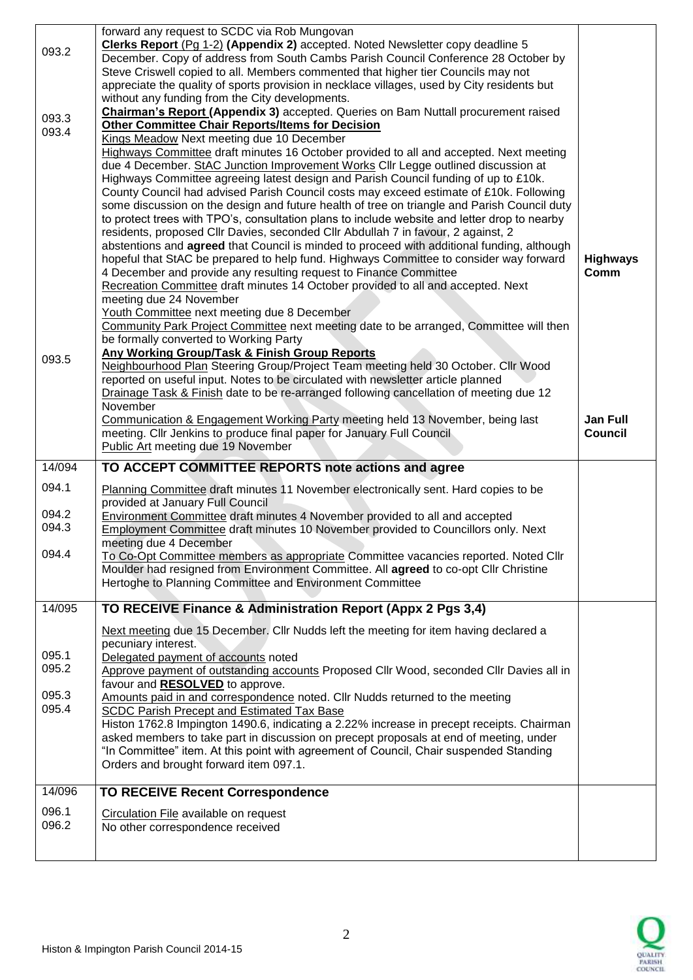| 093.2          | forward any request to SCDC via Rob Mungovan<br>Clerks Report (Pg 1-2) (Appendix 2) accepted. Noted Newsletter copy deadline 5<br>December. Copy of address from South Cambs Parish Council Conference 28 October by<br>Steve Criswell copied to all. Members commented that higher tier Councils may not                                                                                                                                                                                                                                                                                                                                                                                                                                                                                                                                                                                                                                                                                                                                                                                                                                                                                                                                                                                                                                                                                                                                        |                                   |
|----------------|--------------------------------------------------------------------------------------------------------------------------------------------------------------------------------------------------------------------------------------------------------------------------------------------------------------------------------------------------------------------------------------------------------------------------------------------------------------------------------------------------------------------------------------------------------------------------------------------------------------------------------------------------------------------------------------------------------------------------------------------------------------------------------------------------------------------------------------------------------------------------------------------------------------------------------------------------------------------------------------------------------------------------------------------------------------------------------------------------------------------------------------------------------------------------------------------------------------------------------------------------------------------------------------------------------------------------------------------------------------------------------------------------------------------------------------------------|-----------------------------------|
| 093.3          | appreciate the quality of sports provision in necklace villages, used by City residents but<br>without any funding from the City developments.<br><b>Chairman's Report (Appendix 3)</b> accepted. Queries on Bam Nuttall procurement raised                                                                                                                                                                                                                                                                                                                                                                                                                                                                                                                                                                                                                                                                                                                                                                                                                                                                                                                                                                                                                                                                                                                                                                                                      |                                   |
| 093.4          | <b>Other Committee Chair Reports/Items for Decision</b><br>Kings Meadow Next meeting due 10 December                                                                                                                                                                                                                                                                                                                                                                                                                                                                                                                                                                                                                                                                                                                                                                                                                                                                                                                                                                                                                                                                                                                                                                                                                                                                                                                                             |                                   |
| 093.5          | Highways Committee draft minutes 16 October provided to all and accepted. Next meeting<br>due 4 December. StAC Junction Improvement Works Cllr Legge outlined discussion at<br>Highways Committee agreeing latest design and Parish Council funding of up to £10k.<br>County Council had advised Parish Council costs may exceed estimate of £10k. Following<br>some discussion on the design and future health of tree on triangle and Parish Council duty<br>to protect trees with TPO's, consultation plans to include website and letter drop to nearby<br>residents, proposed Cllr Davies, seconded Cllr Abdullah 7 in favour, 2 against, 2<br>abstentions and <b>agreed</b> that Council is minded to proceed with additional funding, although<br>hopeful that StAC be prepared to help fund. Highways Committee to consider way forward<br>4 December and provide any resulting request to Finance Committee<br>Recreation Committee draft minutes 14 October provided to all and accepted. Next<br>meeting due 24 November<br>Youth Committee next meeting due 8 December<br>Community Park Project Committee next meeting date to be arranged, Committee will then<br>be formally converted to Working Party<br>Any Working Group/Task & Finish Group Reports<br>Neighbourhood Plan Steering Group/Project Team meeting held 30 October. Cllr Wood<br>reported on useful input. Notes to be circulated with newsletter article planned | <b>Highways</b><br>Comm           |
|                | Drainage Task & Finish date to be re-arranged following cancellation of meeting due 12<br>November<br>Communication & Engagement Working Party meeting held 13 November, being last<br>meeting. Cllr Jenkins to produce final paper for January Full Council<br>Public Art meeting due 19 November                                                                                                                                                                                                                                                                                                                                                                                                                                                                                                                                                                                                                                                                                                                                                                                                                                                                                                                                                                                                                                                                                                                                               | <b>Jan Full</b><br><b>Council</b> |
| 14/094         | TO ACCEPT COMMITTEE REPORTS note actions and agree                                                                                                                                                                                                                                                                                                                                                                                                                                                                                                                                                                                                                                                                                                                                                                                                                                                                                                                                                                                                                                                                                                                                                                                                                                                                                                                                                                                               |                                   |
| 094.1          | Planning Committee draft minutes 11 November electronically sent. Hard copies to be<br>provided at January Full Council                                                                                                                                                                                                                                                                                                                                                                                                                                                                                                                                                                                                                                                                                                                                                                                                                                                                                                                                                                                                                                                                                                                                                                                                                                                                                                                          |                                   |
| 094.2<br>094.3 | <b>Environment Committee draft minutes 4 November provided to all and accepted</b><br><b>Employment Committee draft minutes 10 November provided to Councillors only. Next</b><br>meeting due 4 December                                                                                                                                                                                                                                                                                                                                                                                                                                                                                                                                                                                                                                                                                                                                                                                                                                                                                                                                                                                                                                                                                                                                                                                                                                         |                                   |
| 094.4          | To Co-Opt Committee members as appropriate Committee vacancies reported. Noted Cllr<br>Moulder had resigned from Environment Committee. All agreed to co-opt Cllr Christine<br>Hertoghe to Planning Committee and Environment Committee                                                                                                                                                                                                                                                                                                                                                                                                                                                                                                                                                                                                                                                                                                                                                                                                                                                                                                                                                                                                                                                                                                                                                                                                          |                                   |
| 14/095         | TO RECEIVE Finance & Administration Report (Appx 2 Pgs 3,4)                                                                                                                                                                                                                                                                                                                                                                                                                                                                                                                                                                                                                                                                                                                                                                                                                                                                                                                                                                                                                                                                                                                                                                                                                                                                                                                                                                                      |                                   |
| 095.1<br>095.2 | Next meeting due 15 December. Cllr Nudds left the meeting for item having declared a<br>pecuniary interest.<br>Delegated payment of accounts noted<br>Approve payment of outstanding accounts Proposed Cllr Wood, seconded Cllr Davies all in<br>favour and <b>RESOLVED</b> to approve.                                                                                                                                                                                                                                                                                                                                                                                                                                                                                                                                                                                                                                                                                                                                                                                                                                                                                                                                                                                                                                                                                                                                                          |                                   |
| 095.3<br>095.4 | Amounts paid in and correspondence noted. Cllr Nudds returned to the meeting<br>SCDC Parish Precept and Estimated Tax Base<br>Histon 1762.8 Impington 1490.6, indicating a 2.22% increase in precept receipts. Chairman<br>asked members to take part in discussion on precept proposals at end of meeting, under                                                                                                                                                                                                                                                                                                                                                                                                                                                                                                                                                                                                                                                                                                                                                                                                                                                                                                                                                                                                                                                                                                                                |                                   |
|                | "In Committee" item. At this point with agreement of Council, Chair suspended Standing<br>Orders and brought forward item 097.1.                                                                                                                                                                                                                                                                                                                                                                                                                                                                                                                                                                                                                                                                                                                                                                                                                                                                                                                                                                                                                                                                                                                                                                                                                                                                                                                 |                                   |
| 14/096         | <b>TO RECEIVE Recent Correspondence</b>                                                                                                                                                                                                                                                                                                                                                                                                                                                                                                                                                                                                                                                                                                                                                                                                                                                                                                                                                                                                                                                                                                                                                                                                                                                                                                                                                                                                          |                                   |
| 096.1<br>096.2 | Circulation File available on request<br>No other correspondence received                                                                                                                                                                                                                                                                                                                                                                                                                                                                                                                                                                                                                                                                                                                                                                                                                                                                                                                                                                                                                                                                                                                                                                                                                                                                                                                                                                        |                                   |

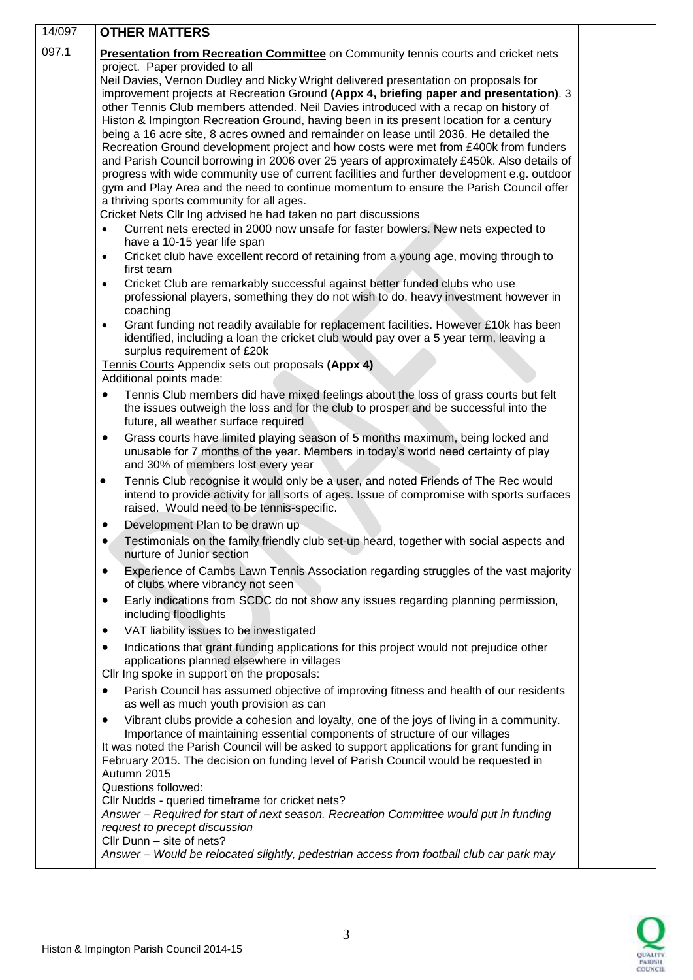| 14/097 | <b>OTHER MATTERS</b>                                                                                                                                                                                                                                                                                                                                                                                                                                                                                                                                                                                                                                                                                                                                                                                                                                                                                                                                                                                                                                                                                                                                                                                                                                                                                                                     |  |  |
|--------|------------------------------------------------------------------------------------------------------------------------------------------------------------------------------------------------------------------------------------------------------------------------------------------------------------------------------------------------------------------------------------------------------------------------------------------------------------------------------------------------------------------------------------------------------------------------------------------------------------------------------------------------------------------------------------------------------------------------------------------------------------------------------------------------------------------------------------------------------------------------------------------------------------------------------------------------------------------------------------------------------------------------------------------------------------------------------------------------------------------------------------------------------------------------------------------------------------------------------------------------------------------------------------------------------------------------------------------|--|--|
| 097.1  | Presentation from Recreation Committee on Community tennis courts and cricket nets                                                                                                                                                                                                                                                                                                                                                                                                                                                                                                                                                                                                                                                                                                                                                                                                                                                                                                                                                                                                                                                                                                                                                                                                                                                       |  |  |
|        | project. Paper provided to all<br>Neil Davies, Vernon Dudley and Nicky Wright delivered presentation on proposals for<br>improvement projects at Recreation Ground (Appx 4, briefing paper and presentation). 3<br>other Tennis Club members attended. Neil Davies introduced with a recap on history of<br>Histon & Impington Recreation Ground, having been in its present location for a century<br>being a 16 acre site, 8 acres owned and remainder on lease until 2036. He detailed the<br>Recreation Ground development project and how costs were met from £400k from funders<br>and Parish Council borrowing in 2006 over 25 years of approximately £450k. Also details of<br>progress with wide community use of current facilities and further development e.g. outdoor<br>gym and Play Area and the need to continue momentum to ensure the Parish Council offer<br>a thriving sports community for all ages.<br>Cricket Nets Cllr Ing advised he had taken no part discussions<br>Current nets erected in 2000 now unsafe for faster bowlers. New nets expected to<br>$\bullet$<br>have a 10-15 year life span<br>Cricket club have excellent record of retaining from a young age, moving through to<br>$\bullet$<br>first team<br>Cricket Club are remarkably successful against better funded clubs who use<br>$\bullet$ |  |  |
|        | professional players, something they do not wish to do, heavy investment however in<br>coaching                                                                                                                                                                                                                                                                                                                                                                                                                                                                                                                                                                                                                                                                                                                                                                                                                                                                                                                                                                                                                                                                                                                                                                                                                                          |  |  |
|        | Grant funding not readily available for replacement facilities. However £10k has been<br>$\bullet$<br>identified, including a loan the cricket club would pay over a 5 year term, leaving a<br>surplus requirement of £20k                                                                                                                                                                                                                                                                                                                                                                                                                                                                                                                                                                                                                                                                                                                                                                                                                                                                                                                                                                                                                                                                                                               |  |  |
|        | Tennis Courts Appendix sets out proposals (Appx 4)<br>Additional points made:                                                                                                                                                                                                                                                                                                                                                                                                                                                                                                                                                                                                                                                                                                                                                                                                                                                                                                                                                                                                                                                                                                                                                                                                                                                            |  |  |
|        | Tennis Club members did have mixed feelings about the loss of grass courts but felt<br>the issues outweigh the loss and for the club to prosper and be successful into the<br>future, all weather surface required                                                                                                                                                                                                                                                                                                                                                                                                                                                                                                                                                                                                                                                                                                                                                                                                                                                                                                                                                                                                                                                                                                                       |  |  |
|        | Grass courts have limited playing season of 5 months maximum, being locked and<br>٠<br>unusable for 7 months of the year. Members in today's world need certainty of play<br>and 30% of members lost every year                                                                                                                                                                                                                                                                                                                                                                                                                                                                                                                                                                                                                                                                                                                                                                                                                                                                                                                                                                                                                                                                                                                          |  |  |
|        | Tennis Club recognise it would only be a user, and noted Friends of The Rec would<br>$\bullet$<br>intend to provide activity for all sorts of ages. Issue of compromise with sports surfaces<br>raised. Would need to be tennis-specific.                                                                                                                                                                                                                                                                                                                                                                                                                                                                                                                                                                                                                                                                                                                                                                                                                                                                                                                                                                                                                                                                                                |  |  |
|        | Development Plan to be drawn up                                                                                                                                                                                                                                                                                                                                                                                                                                                                                                                                                                                                                                                                                                                                                                                                                                                                                                                                                                                                                                                                                                                                                                                                                                                                                                          |  |  |
|        | Testimonials on the family friendly club set-up heard, together with social aspects and<br>nurture of Junior section                                                                                                                                                                                                                                                                                                                                                                                                                                                                                                                                                                                                                                                                                                                                                                                                                                                                                                                                                                                                                                                                                                                                                                                                                     |  |  |
|        | Experience of Cambs Lawn Tennis Association regarding struggles of the vast majority<br>$\bullet$<br>of clubs where vibrancy not seen                                                                                                                                                                                                                                                                                                                                                                                                                                                                                                                                                                                                                                                                                                                                                                                                                                                                                                                                                                                                                                                                                                                                                                                                    |  |  |
|        | Early indications from SCDC do not show any issues regarding planning permission,<br>٠<br>including floodlights                                                                                                                                                                                                                                                                                                                                                                                                                                                                                                                                                                                                                                                                                                                                                                                                                                                                                                                                                                                                                                                                                                                                                                                                                          |  |  |
|        | VAT liability issues to be investigated<br>٠                                                                                                                                                                                                                                                                                                                                                                                                                                                                                                                                                                                                                                                                                                                                                                                                                                                                                                                                                                                                                                                                                                                                                                                                                                                                                             |  |  |
|        | Indications that grant funding applications for this project would not prejudice other<br>applications planned elsewhere in villages<br>Cllr Ing spoke in support on the proposals:                                                                                                                                                                                                                                                                                                                                                                                                                                                                                                                                                                                                                                                                                                                                                                                                                                                                                                                                                                                                                                                                                                                                                      |  |  |
|        | Parish Council has assumed objective of improving fitness and health of our residents<br>٠<br>as well as much youth provision as can                                                                                                                                                                                                                                                                                                                                                                                                                                                                                                                                                                                                                                                                                                                                                                                                                                                                                                                                                                                                                                                                                                                                                                                                     |  |  |
|        | Vibrant clubs provide a cohesion and loyalty, one of the joys of living in a community.<br>٠<br>Importance of maintaining essential components of structure of our villages<br>It was noted the Parish Council will be asked to support applications for grant funding in<br>February 2015. The decision on funding level of Parish Council would be requested in<br>Autumn 2015<br>Questions followed:<br>Cllr Nudds - queried timeframe for cricket nets?<br>Answer - Required for start of next season. Recreation Committee would put in funding<br>request to precept discussion<br>Cllr Dunn - site of nets?                                                                                                                                                                                                                                                                                                                                                                                                                                                                                                                                                                                                                                                                                                                       |  |  |
|        | Answer - Would be relocated slightly, pedestrian access from football club car park may                                                                                                                                                                                                                                                                                                                                                                                                                                                                                                                                                                                                                                                                                                                                                                                                                                                                                                                                                                                                                                                                                                                                                                                                                                                  |  |  |

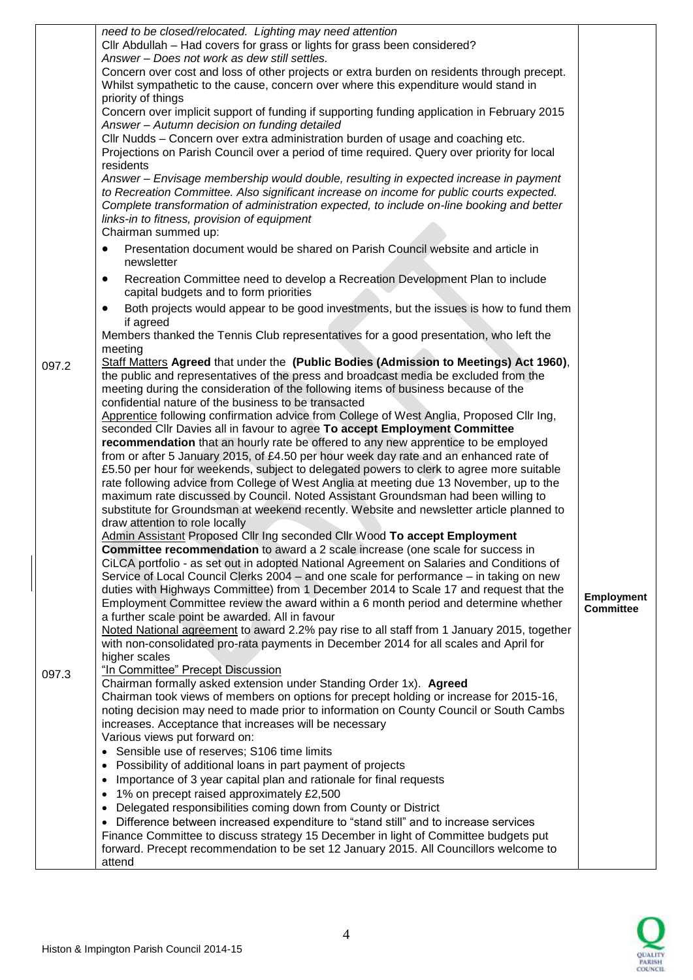|       | need to be closed/relocated. Lighting may need attention<br>Cllr Abdullah - Had covers for grass or lights for grass been considered?<br>Answer - Does not work as dew still settles.<br>Concern over cost and loss of other projects or extra burden on residents through precept.<br>Whilst sympathetic to the cause, concern over where this expenditure would stand in<br>priority of things<br>Concern over implicit support of funding if supporting funding application in February 2015<br>Answer - Autumn decision on funding detailed<br>Cllr Nudds - Concern over extra administration burden of usage and coaching etc.<br>Projections on Parish Council over a period of time required. Query over priority for local<br>residents<br>Answer - Envisage membership would double, resulting in expected increase in payment |                                       |
|-------|-----------------------------------------------------------------------------------------------------------------------------------------------------------------------------------------------------------------------------------------------------------------------------------------------------------------------------------------------------------------------------------------------------------------------------------------------------------------------------------------------------------------------------------------------------------------------------------------------------------------------------------------------------------------------------------------------------------------------------------------------------------------------------------------------------------------------------------------|---------------------------------------|
|       | to Recreation Committee. Also significant increase on income for public courts expected.<br>Complete transformation of administration expected, to include on-line booking and better<br>links-in to fitness, provision of equipment<br>Chairman summed up:<br>Presentation document would be shared on Parish Council website and article in                                                                                                                                                                                                                                                                                                                                                                                                                                                                                           |                                       |
|       | newsletter                                                                                                                                                                                                                                                                                                                                                                                                                                                                                                                                                                                                                                                                                                                                                                                                                              |                                       |
|       | Recreation Committee need to develop a Recreation Development Plan to include<br>$\bullet$<br>capital budgets and to form priorities                                                                                                                                                                                                                                                                                                                                                                                                                                                                                                                                                                                                                                                                                                    |                                       |
|       | Both projects would appear to be good investments, but the issues is how to fund them<br>$\bullet$<br>if agreed                                                                                                                                                                                                                                                                                                                                                                                                                                                                                                                                                                                                                                                                                                                         |                                       |
|       | Members thanked the Tennis Club representatives for a good presentation, who left the<br>meeting                                                                                                                                                                                                                                                                                                                                                                                                                                                                                                                                                                                                                                                                                                                                        |                                       |
| 097.2 | Staff Matters Agreed that under the (Public Bodies (Admission to Meetings) Act 1960),<br>the public and representatives of the press and broadcast media be excluded from the<br>meeting during the consideration of the following items of business because of the<br>confidential nature of the business to be transacted                                                                                                                                                                                                                                                                                                                                                                                                                                                                                                             |                                       |
|       | Apprentice following confirmation advice from College of West Anglia, Proposed Cllr Ing,<br>seconded Cllr Davies all in favour to agree To accept Employment Committee<br>recommendation that an hourly rate be offered to any new apprentice to be employed                                                                                                                                                                                                                                                                                                                                                                                                                                                                                                                                                                            |                                       |
|       | from or after 5 January 2015, of £4.50 per hour week day rate and an enhanced rate of<br>£5.50 per hour for weekends, subject to delegated powers to clerk to agree more suitable<br>rate following advice from College of West Anglia at meeting due 13 November, up to the<br>maximum rate discussed by Council. Noted Assistant Groundsman had been willing to<br>substitute for Groundsman at weekend recently. Website and newsletter article planned to                                                                                                                                                                                                                                                                                                                                                                           |                                       |
|       | draw attention to role locally<br>Admin Assistant Proposed Cllr Ing seconded Cllr Wood To accept Employment                                                                                                                                                                                                                                                                                                                                                                                                                                                                                                                                                                                                                                                                                                                             |                                       |
|       | <b>Committee recommendation</b> to award a 2 scale increase (one scale for success in<br>CiLCA portfolio - as set out in adopted National Agreement on Salaries and Conditions of<br>Service of Local Council Clerks 2004 - and one scale for performance - in taking on new<br>duties with Highways Committee) from 1 December 2014 to Scale 17 and request that the<br>Employment Committee review the award within a 6 month period and determine whether<br>a further scale point be awarded. All in favour                                                                                                                                                                                                                                                                                                                         | <b>Employment</b><br><b>Committee</b> |
|       | Noted National agreement to award 2.2% pay rise to all staff from 1 January 2015, together<br>with non-consolidated pro-rata payments in December 2014 for all scales and April for<br>higher scales                                                                                                                                                                                                                                                                                                                                                                                                                                                                                                                                                                                                                                    |                                       |
| 097.3 | "In Committee" Precept Discussion<br>Chairman formally asked extension under Standing Order 1x). Agreed<br>Chairman took views of members on options for precept holding or increase for 2015-16,<br>noting decision may need to made prior to information on County Council or South Cambs<br>increases. Acceptance that increases will be necessary                                                                                                                                                                                                                                                                                                                                                                                                                                                                                   |                                       |
|       | Various views put forward on:<br>Sensible use of reserves; S106 time limits                                                                                                                                                                                                                                                                                                                                                                                                                                                                                                                                                                                                                                                                                                                                                             |                                       |
|       | Possibility of additional loans in part payment of projects<br>$\bullet$                                                                                                                                                                                                                                                                                                                                                                                                                                                                                                                                                                                                                                                                                                                                                                |                                       |
|       | Importance of 3 year capital plan and rationale for final requests<br>$\bullet$<br>1% on precept raised approximately £2,500<br>$\bullet$                                                                                                                                                                                                                                                                                                                                                                                                                                                                                                                                                                                                                                                                                               |                                       |
|       | Delegated responsibilities coming down from County or District<br>$\bullet$                                                                                                                                                                                                                                                                                                                                                                                                                                                                                                                                                                                                                                                                                                                                                             |                                       |
|       | Difference between increased expenditure to "stand still" and to increase services<br>٠<br>Finance Committee to discuss strategy 15 December in light of Committee budgets put                                                                                                                                                                                                                                                                                                                                                                                                                                                                                                                                                                                                                                                          |                                       |
|       | forward. Precept recommendation to be set 12 January 2015. All Councillors welcome to<br>attend                                                                                                                                                                                                                                                                                                                                                                                                                                                                                                                                                                                                                                                                                                                                         |                                       |